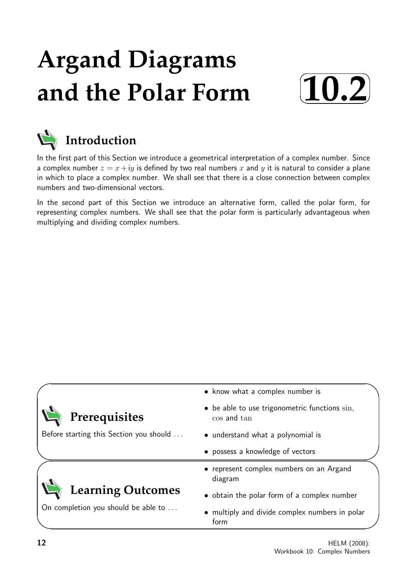# **Argand Diagrams and the Polar Form**





In the first part of this Section we introduce a geometrical interpretation of a complex number. Since a complex number  $z = x + iy$  is defined by two real numbers x and y it is natural to consider a plane in which to place a complex number. We shall see that there is a close connection between complex numbers and two-dimensional vectors.

In the second part of this Section we introduce an alternative form, called the polar form, for representing complex numbers. We shall see that the polar form is particularly advantageous when multiplying and dividing complex numbers.

|                                         | • know what a complex number is                                          |
|-----------------------------------------|--------------------------------------------------------------------------|
| Prerequisites                           | $\bullet$ be able to use trigonometric functions $\sin$ ,<br>cos and tan |
| Before starting this Section you should | • understand what a polynomial is                                        |
|                                         | • possess a knowledge of vectors                                         |
|                                         | • represent complex numbers on an Argand<br>diagram                      |
| <b>Learning Outcomes</b>                | • obtain the polar form of a complex number                              |
| On completion you should be able to     | • multiply and divide complex numbers in polar<br>form                   |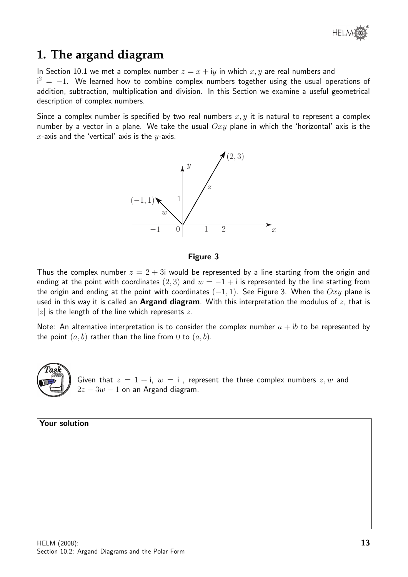# **1. The argand diagram**

In Section 10.1 we met a complex number  $z = x + iy$  in which x, y are real numbers and  $i^2 = -1$ . We learned how to combine complex numbers together using the usual operations of addition, subtraction, multiplication and division. In this Section we examine a useful geometrical description of complex numbers.

Since a complex number is specified by two real numbers  $x, y$  it is natural to represent a complex number by a vector in a plane. We take the usual  $Oxy$  plane in which the 'horizontal' axis is the x-axis and the 'vertical' axis is the  $y$ -axis.



#### Figure 3

Thus the complex number  $z = 2 + 3i$  would be represented by a line starting from the origin and ending at the point with coordinates (2, 3) and  $w = -1 + i$  is represented by the line starting from the origin and ending at the point with coordinates  $(-1, 1)$ . See Figure 3. When the  $Oxy$  plane is used in this way it is called an **Argand diagram**. With this interpretation the modulus of  $z$ , that is |z| is the length of the line which represents z.

Note: An alternative interpretation is to consider the complex number  $a + ib$  to be represented by the point  $(a, b)$  rather than the line from 0 to  $(a, b)$ .



Given that  $z = 1 + i$ ,  $w = i$ , represent the three complex numbers  $z, w$  and  $2z - 3w - 1$  on an Argand diagram.

| <b>Your solution</b> |
|----------------------|
|                      |
|                      |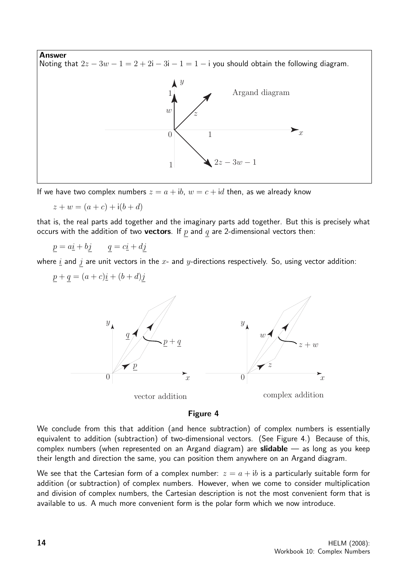

If we have two complex numbers  $z = a + ib$ ,  $w = c + id$  then, as we already know

 $z + w = (a + c) + i(b + d)$ 

that is, the real parts add together and the imaginary parts add together. But this is precisely what occurs with the addition of two **vectors**. If  $p$  and  $q$  are 2-dimensional vectors then:

 $p = a\underline{i} + b\underline{j}$   $q = c\underline{i} + d\underline{j}$ 

where  $\underline{i}$  and  $j$  are unit vectors in the  $x$ - and  $y$ -directions respectively. So, using vector addition:

$$
\underline{p} + \underline{q} = (a+c)\underline{i} + (b+d)\underline{j}
$$



#### Figure 4

We conclude from this that addition (and hence subtraction) of complex numbers is essentially equivalent to addition (subtraction) of two-dimensional vectors. (See Figure 4.) Because of this, complex numbers (when represented on an Argand diagram) are **slidable** — as long as you keep their length and direction the same, you can position them anywhere on an Argand diagram.

We see that the Cartesian form of a complex number:  $z = a + ib$  is a particularly suitable form for addition (or subtraction) of complex numbers. However, when we come to consider multiplication and division of complex numbers, the Cartesian description is not the most convenient form that is available to us. A much more convenient form is the polar form which we now introduce.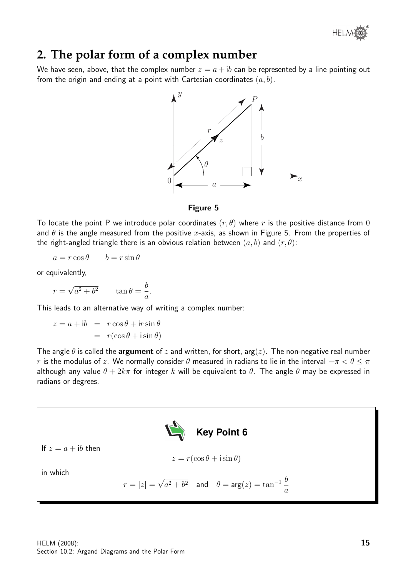

# **2. The polar form of a complex number**

We have seen, above, that the complex number  $z = a + ib$  can be represented by a line pointing out from the origin and ending at a point with Cartesian coordinates  $(a, b)$ .



### Figure 5

To locate the point P we introduce polar coordinates  $(r, \theta)$  where r is the positive distance from 0 and  $\theta$  is the angle measured from the positive x-axis, as shown in Figure 5. From the properties of the right-angled triangle there is an obvious relation between  $(a, b)$  and  $(r, \theta)$ :

$$
a = r \cos \theta \qquad b = r \sin \theta
$$

or equivalently,

$$
r = \sqrt{a^2 + b^2} \qquad \tan \theta = \frac{b}{a}.
$$

This leads to an alternative way of writing a complex number:

$$
z = a + ib = r \cos \theta + ir \sin \theta
$$

$$
= r(\cos \theta + i \sin \theta)
$$

The angle  $\theta$  is called the **argument** of z and written, for short, arg(z). The non-negative real number r is the modulus of z. We normally consider  $\theta$  measured in radians to lie in the interval  $-\pi < \theta \leq \pi$ although any value  $\theta + 2k\pi$  for integer k will be equivalent to  $\theta$ . The angle  $\theta$  may be expressed in radians or degrees.

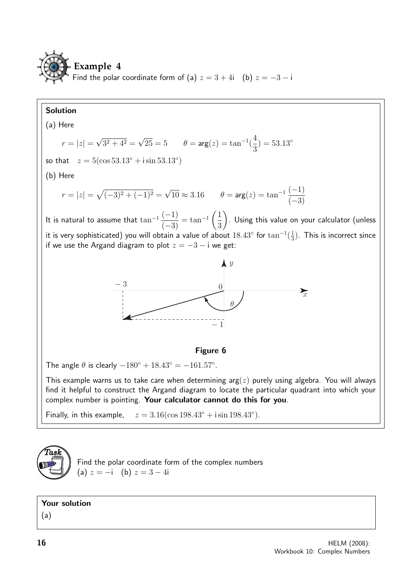

# Solution

(a) Here  
\n
$$
r = |z| = \sqrt{3^2 + 4^2} = \sqrt{25} = 5
$$
  $\theta = \arg(z) = \tan^{-1}(\frac{4}{3}) = 53.13^{\circ}$   
\nso that  $z = 5(\cos 53.13^{\circ} + i \sin 53.13^{\circ})$   
\n(b) Here  
\n $r = |z| = \sqrt{(-3)^2 + (-1)^2} = \sqrt{10} \approx 3.16$   $\theta = \arg(z) = \tan^{-1}(\frac{-1}{-3})$   
\nIt is natural to assume that  $\tan^{-1}(\frac{-1}{-3}) = \tan^{-1}(\frac{1}{3})$ . Using this value on your calculator (unless  
\nit is very sophisticated) you will obtain a value of about 18.43° for  $\tan^{-1}(\frac{1}{3})$ . This is incorrect since  
\nif we use the Argand diagram to plot  $z = -3 - i$  we get:  
\n $\frac{y}{z}$   
\n $\frac{-3}{z}$   
\nThis example warns us to take care when determining  $\arg(z)$  purely using algebra. You will always  
\nfind it helpful to construct the Argand diagram to locate the particular quadrant into which your  
\ncomplex number is pointing. Your calculator cannot do this for you.  
\nFinally, in this example,  $z = 3.16(\cos 198.43^{\circ} + i \sin 198.43^{\circ})$ .



Find the polar coordinate form of the complex numbers (a)  $z = -i$  (b)  $z = 3 - 4i$ 

## Your solution

(a)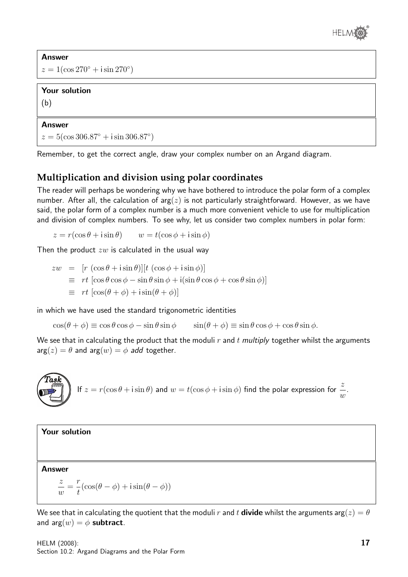

Answer  $z = 1(\cos 270^\circ + i \sin 270^\circ)$ 

### Your solution

(b)

#### Answer

 $z = 5(\cos 306.87° + i \sin 306.87°)$ 

Remember, to get the correct angle, draw your complex number on an Argand diagram.

# **Multiplication and division using polar coordinates**

The reader will perhaps be wondering why we have bothered to introduce the polar form of a complex number. After all, the calculation of  $arg(z)$  is not particularly straightforward. However, as we have said, the polar form of a complex number is a much more convenient vehicle to use for multiplication and division of complex numbers. To see why, let us consider two complex numbers in polar form:

$$
z = r(\cos \theta + i \sin \theta) \qquad w = t(\cos \phi + i \sin \phi)
$$

Then the product  $zw$  is calculated in the usual way

$$
zw = [r (\cos \theta + i \sin \theta)][t (\cos \phi + i \sin \phi)]
$$
  
\n
$$
\equiv rt [\cos \theta \cos \phi - \sin \theta \sin \phi + i(\sin \theta \cos \phi + \cos \theta \sin \phi)]
$$
  
\n
$$
\equiv rt [\cos(\theta + \phi) + i \sin(\theta + \phi)]
$$

in which we have used the standard trigonometric identities

 $\cos(\theta + \phi) \equiv \cos \theta \cos \phi - \sin \theta \sin \phi$   $\sin(\theta + \phi) \equiv \sin \theta \cos \phi + \cos \theta \sin \phi$ .

We see that in calculating the product that the moduli  $r$  and  $t$  multiply together whilst the arguments  $arg(z) = \theta$  and  $arg(w) = \phi$  add together.



#### Your solution

Answer

$$
\frac{z}{w} = \frac{r}{t}(\cos(\theta - \phi) + i\sin(\theta - \phi))
$$

We see that in calculating the quotient that the moduli r and t **divide** whilst the arguments arg( $z$ ) =  $\theta$ and arg $(w) = \phi$  subtract.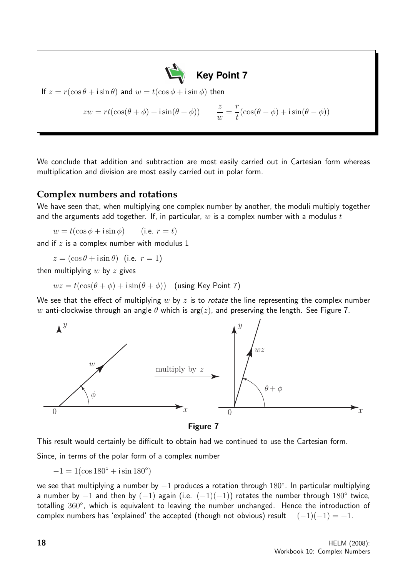If 
$$
z = r(\cos \theta + i \sin \theta)
$$
 and  $w = t(\cos \phi + i \sin \phi)$  then  
\n
$$
zw = rt(\cos(\theta + \phi) + i \sin(\theta + \phi)) \qquad \frac{z}{w} = \frac{r}{t}(\cos(\theta - \phi) + i \sin(\theta - \phi))
$$

We conclude that addition and subtraction are most easily carried out in Cartesian form whereas multiplication and division are most easily carried out in polar form.

## **Complex numbers and rotations**

We have seen that, when multiplying one complex number by another, the moduli multiply together and the arguments add together. If, in particular,  $w$  is a complex number with a modulus  $t$ 

 $w = t(\cos \phi + i \sin \phi)$  (i.e.  $r = t$ )

and if  $z$  is a complex number with modulus  $1$ 

 $z = (\cos \theta + i \sin \theta)$  (i.e.  $r = 1$ )

then multiplying  $w$  by  $z$  gives

 $wz = t(\cos(\theta + \phi) + i\sin(\theta + \phi))$  (using Key Point 7)

We see that the effect of multiplying  $w$  by  $z$  is to rotate the line representing the complex number w anti-clockwise through an angle  $\theta$  which is arg(z), and preserving the length. See Figure 7.



Figure 7

This result would certainly be difficult to obtain had we continued to use the Cartesian form.

Since, in terms of the polar form of a complex number

 $-1 = 1(\cos 180^\circ + i \sin 180^\circ)$ 

we see that multiplying a number by  $-1$  produces a rotation through  $180^{\circ}$ . In particular multiplying a number by  $-1$  and then by  $(-1)$  again (i.e.  $(-1)(-1)$ ) rotates the number through 180° twice, totalling 360°, which is equivalent to leaving the number unchanged. Hence the introduction of complex numbers has 'explained' the accepted (though not obvious) result  $(-1)(-1) = +1$ .